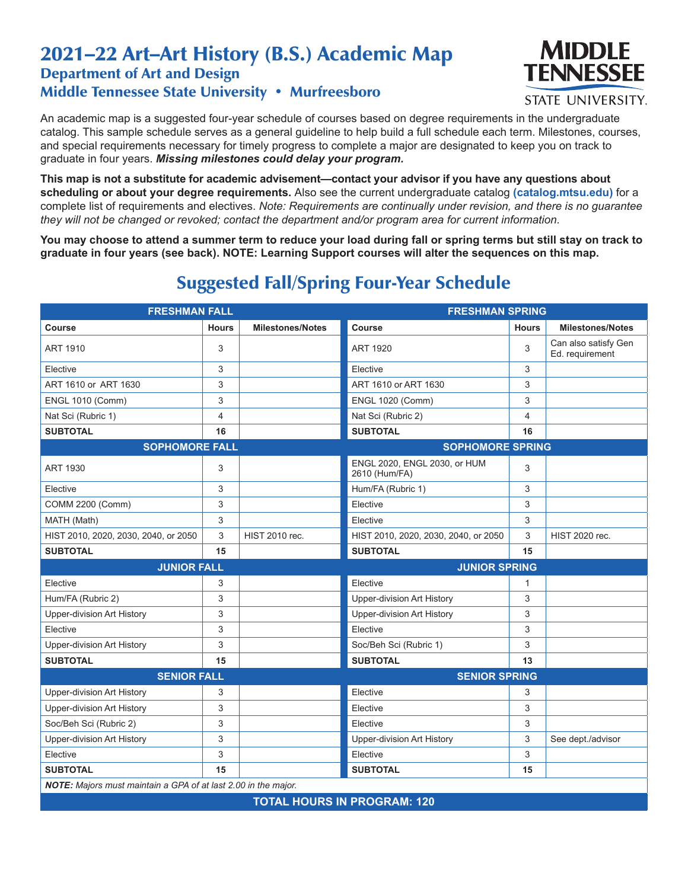## 2021–22 Art–Art History (B.S.) Academic Map Department of Art and Design Middle Tennessee State University • Murfreesboro



**STATE UNIVERSITY.** 

An academic map is a suggested four-year schedule of courses based on degree requirements in the undergraduate catalog. This sample schedule serves as a general guideline to help build a full schedule each term. Milestones, courses, and special requirements necessary for timely progress to complete a major are designated to keep you on track to graduate in four years. *Missing milestones could delay your program.*

**This map is not a substitute for academic advisement—contact your advisor if you have any questions about scheduling or about your degree requirements.** Also see the current undergraduate catalog **(catalog.mtsu.edu)** for a complete list of requirements and electives. *Note: Requirements are continually under revision, and there is no guarantee they will not be changed or revoked; contact the department and/or program area for current information.*

**You may choose to attend a summer term to reduce your load during fall or spring terms but still stay on track to graduate in four years (see back). NOTE: Learning Support courses will alter the sequences on this map.**

| <b>FRESHMAN FALL</b>                                           |              |                         | <b>FRESHMAN SPRING</b>                        |              |                                         |  |  |  |
|----------------------------------------------------------------|--------------|-------------------------|-----------------------------------------------|--------------|-----------------------------------------|--|--|--|
| Course                                                         | <b>Hours</b> | <b>Milestones/Notes</b> | Course                                        | <b>Hours</b> | <b>Milestones/Notes</b>                 |  |  |  |
| ART 1910                                                       | 3            |                         | <b>ART 1920</b>                               | 3            | Can also satisfy Gen<br>Ed. requirement |  |  |  |
| Elective                                                       | 3            |                         | Elective                                      | 3            |                                         |  |  |  |
| ART 1610 or ART 1630                                           | 3            |                         | ART 1610 or ART 1630                          | 3            |                                         |  |  |  |
| <b>ENGL 1010 (Comm)</b>                                        | 3            |                         | <b>ENGL 1020 (Comm)</b>                       | 3            |                                         |  |  |  |
| Nat Sci (Rubric 1)                                             | 4            |                         | Nat Sci (Rubric 2)                            | 4            |                                         |  |  |  |
| <b>SUBTOTAL</b>                                                | 16           |                         | <b>SUBTOTAL</b>                               | 16           |                                         |  |  |  |
| <b>SOPHOMORE FALL</b>                                          |              |                         | <b>SOPHOMORE SPRING</b>                       |              |                                         |  |  |  |
| ART 1930                                                       | 3            |                         | ENGL 2020, ENGL 2030, or HUM<br>2610 (Hum/FA) | 3            |                                         |  |  |  |
| Elective                                                       | 3            |                         | Hum/FA (Rubric 1)                             | 3            |                                         |  |  |  |
| COMM 2200 (Comm)                                               | 3            |                         | Elective                                      | 3            |                                         |  |  |  |
| MATH (Math)                                                    | 3            |                         | Elective                                      | 3            |                                         |  |  |  |
| HIST 2010, 2020, 2030, 2040, or 2050                           | 3            | HIST 2010 rec.          | HIST 2010, 2020, 2030, 2040, or 2050          | 3            | HIST 2020 rec.                          |  |  |  |
| <b>SUBTOTAL</b>                                                | 15           |                         | <b>SUBTOTAL</b>                               | 15           |                                         |  |  |  |
| <b>JUNIOR FALL</b>                                             |              | <b>JUNIOR SPRING</b>    |                                               |              |                                         |  |  |  |
| Elective                                                       | 3            |                         | Elective                                      | 1            |                                         |  |  |  |
| Hum/FA (Rubric 2)                                              | 3            |                         | Upper-division Art History                    | 3            |                                         |  |  |  |
| Upper-division Art History                                     | 3            |                         | Upper-division Art History                    | 3            |                                         |  |  |  |
| Elective                                                       | 3            |                         | Elective                                      | 3            |                                         |  |  |  |
| Upper-division Art History                                     | 3            |                         | Soc/Beh Sci (Rubric 1)                        | 3            |                                         |  |  |  |
| <b>SUBTOTAL</b>                                                | 15           |                         | <b>SUBTOTAL</b>                               | 13           |                                         |  |  |  |
| <b>SENIOR FALL</b>                                             |              | <b>SENIOR SPRING</b>    |                                               |              |                                         |  |  |  |
| Upper-division Art History                                     | 3            |                         | Elective                                      | 3            |                                         |  |  |  |
| Upper-division Art History                                     | 3            |                         | Elective                                      | 3            |                                         |  |  |  |
| Soc/Beh Sci (Rubric 2)                                         | 3            |                         | Elective                                      | 3            |                                         |  |  |  |
| Upper-division Art History                                     | 3            |                         | Upper-division Art History                    | 3            | See dept./advisor                       |  |  |  |
| Elective                                                       | 3            |                         | Elective                                      | 3            |                                         |  |  |  |
| <b>SUBTOTAL</b>                                                | 15           |                         | <b>SUBTOTAL</b>                               | 15           |                                         |  |  |  |
| NOTE: Majors must maintain a GPA of at last 2.00 in the major. |              |                         |                                               |              |                                         |  |  |  |
| TOTAL HOLIRS IN PROGRAM: 120                                   |              |                         |                                               |              |                                         |  |  |  |

## Suggested Fall/Spring Four-Year Schedule

**TOTAL HOURS IN PROGRAM: 120**